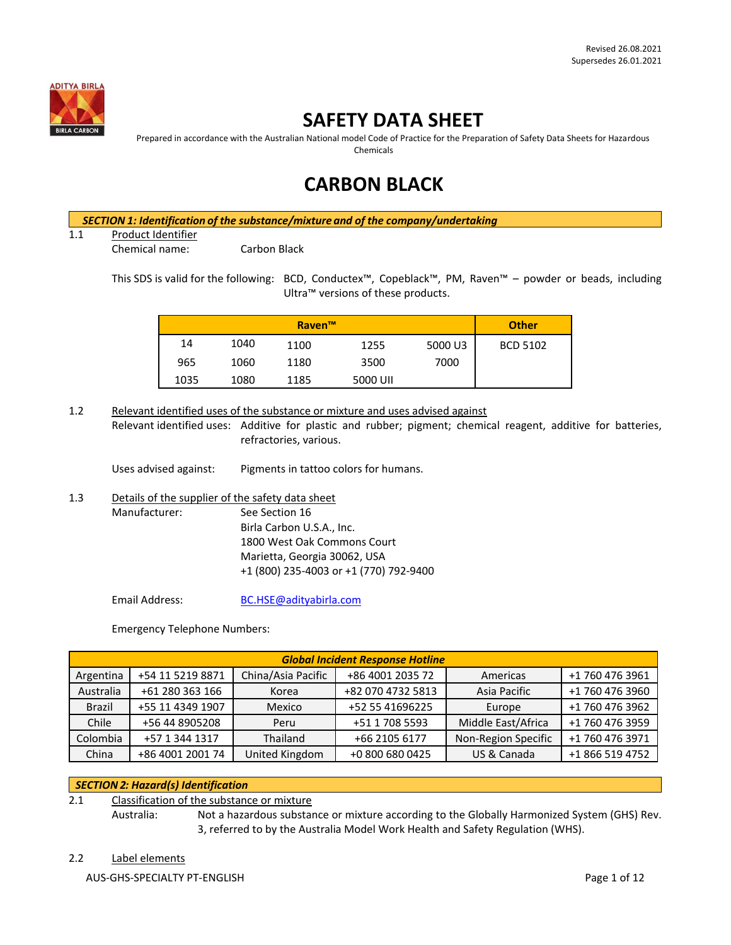

# **SAFETY DATA SHEET**

Prepared in accordance with the Australian National model Code of Practice for the Preparation of Safety Data Sheets for Hazardous Chemicals

# **CARBON BLACK**

*SECTION 1: Identification of the substance/mixture and of the company/undertaking*

### 1.1 Product Identifier

Chemical name: Carbon Black

This SDS is valid for the following: BCD, Conductex™, Copeblack™, PM, Raven™ – powder or beads, including Ultra™ versions of these products.

| Raven™ |      |      |          | <b>Other</b> |                 |
|--------|------|------|----------|--------------|-----------------|
| 14     | 1040 | 1100 | 1255     | 5000 U3      | <b>BCD 5102</b> |
| 965    | 1060 | 1180 | 3500     | 7000         |                 |
| 1035   | 1080 | 1185 | 5000 UII |              |                 |

1.2 Relevant identified uses of the substance or mixture and uses advised against Relevant identified uses: Additive for plastic and rubber; pigment; chemical reagent, additive for batteries, refractories, various.

Uses advised against: Pigments in tattoo colors for humans.

1.3 Details of the supplier of the safety data sheet Manufacturer: See Section 16 Birla Carbon U.S.A., Inc. 1800 West Oak Commons Court Marietta, Georgia 30062, USA +1 (800) 235-4003 or +1 (770) 792-9400

Email Address: [BC.HSE@adityabirla.com](mailto:BC.HSE@adityabirla.com)

Emergency Telephone Numbers:

| <b>Global Incident Response Hotline</b> |                                        |                |                   |                     |                 |  |
|-----------------------------------------|----------------------------------------|----------------|-------------------|---------------------|-----------------|--|
| Argentina                               | China/Asia Pacific<br>+54 11 5219 8871 |                | +86 4001 2035 72  | Americas            | +1 760 476 3961 |  |
| Australia                               | +61 280 363 166                        | Korea          | +82 070 4732 5813 | Asia Pacific        | +1 760 476 3960 |  |
| <b>Brazil</b>                           | +55 11 4349 1907                       | Mexico         | +52 55 41696225   | Europe              | +1 760 476 3962 |  |
| Chile                                   | +56 44 8905208                         | Peru           | +51 1 708 5593    | Middle East/Africa  | +1 760 476 3959 |  |
| Colombia                                | +57 1 344 1317                         | Thailand       | +66 2105 6177     | Non-Region Specific | +1 760 476 3971 |  |
| China                                   | +86 4001 2001 74                       | United Kingdom | +0 800 680 0425   | US & Canada         | +1 866 519 4752 |  |

## *SECTION 2: Hazard(s) Identification*

2.1 Classification of the substance or mixture

Australia: Not a hazardous substance or mixture according to the Globally Harmonized System (GHS) Rev. 3, referred to by the Australia Model Work Health and Safety Regulation (WHS).

## 2.2 Label elements

AUS-GHS-SPECIALTY PT-ENGLISH **Page 1 of 12**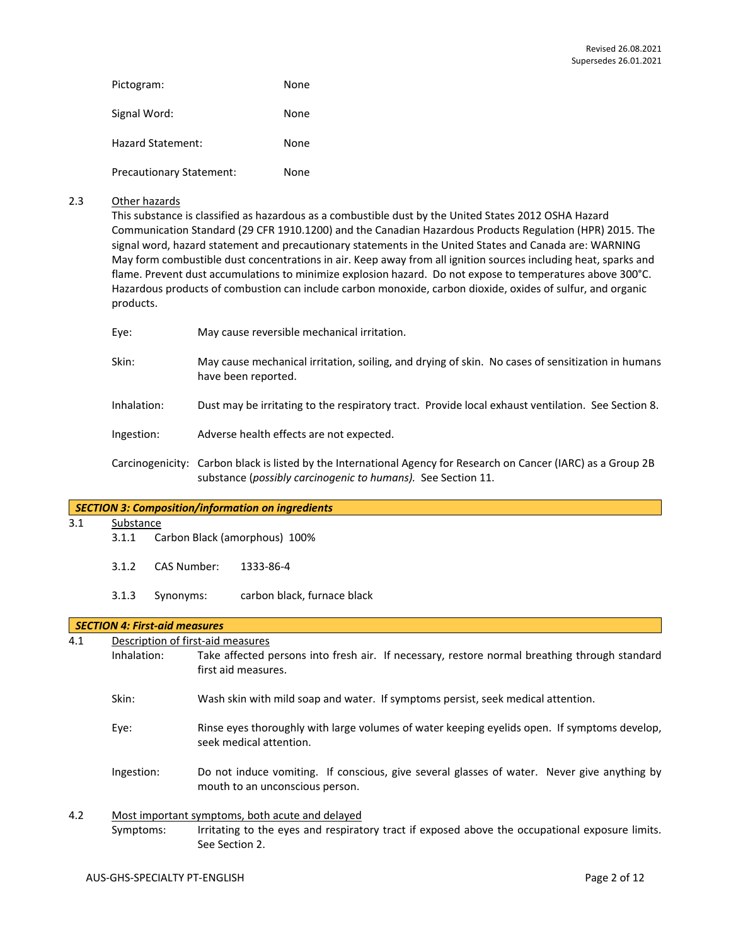| Pictogram:                      | None |
|---------------------------------|------|
| Signal Word:                    | None |
| <b>Hazard Statement:</b>        | None |
| <b>Precautionary Statement:</b> | None |

#### 2.3 Other hazards

This substance is classified as hazardous as a combustible dust by the United States 2012 OSHA Hazard Communication Standard (29 CFR 1910.1200) and the Canadian Hazardous Products Regulation (HPR) 2015. The signal word, hazard statement and precautionary statements in the United States and Canada are: WARNING May form combustible dust concentrations in air. Keep away from all ignition sources including heat, sparks and flame. Prevent dust accumulations to minimize explosion hazard. Do not expose to temperatures above 300°C. Hazardous products of combustion can include carbon monoxide, carbon dioxide, oxides of sulfur, and organic products.

| Eye:        | May cause reversible mechanical irritation.                                                                                                                                     |
|-------------|---------------------------------------------------------------------------------------------------------------------------------------------------------------------------------|
| Skin:       | May cause mechanical irritation, soiling, and drying of skin. No cases of sensitization in humans<br>have been reported.                                                        |
| Inhalation: | Dust may be irritating to the respiratory tract. Provide local exhaust ventilation. See Section 8.                                                                              |
| Ingestion:  | Adverse health effects are not expected.                                                                                                                                        |
|             | Carcinogenicity: Carbon black is listed by the International Agency for Research on Cancer (IARC) as a Group 2B<br>substance (possibly carcinogenic to humans). See Section 11. |

#### *SECTION 3: Composition/information on ingredients*

3.1 Substance

- 3.1.1 Carbon Black (amorphous) 100%
- 3.1.2 CAS Number: 1333-86-4
- 3.1.3 Synonyms: carbon black, furnace black

#### *SECTION 4: First-aid measures*

4.1 Description of first-aid measures Inhalation: Take affected persons into fresh air. If necessary, restore normal breathing through standard first aid measures.

- Skin: Wash skin with mild soap and water. If symptoms persist, seek medical attention.
- Eye: Rinse eyes thoroughly with large volumes of water keeping eyelids open. If symptoms develop, seek medical attention.
- Ingestion: Do not induce vomiting. If conscious, give several glasses of water. Never give anything by mouth to an unconscious person.

## 4.2 Most important symptoms, both acute and delayed Symptoms: Irritating to the eyes and respiratory tract if exposed above the occupational exposure limits. See Section 2.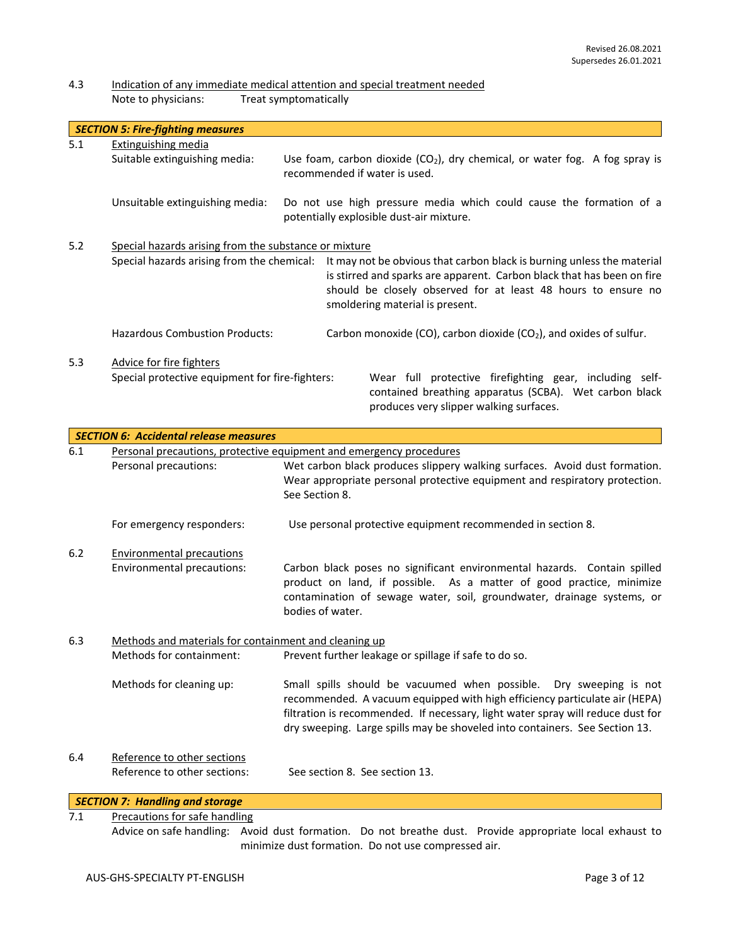## 4.3 Indication of any immediate medical attention and special treatment needed<br>Note to physicians: Treat symptomatically Treat symptomatically

|     | <b>SECTION 5: Fire-fighting measures</b>                                                            |                                                                                                                                                                                                                                                      |
|-----|-----------------------------------------------------------------------------------------------------|------------------------------------------------------------------------------------------------------------------------------------------------------------------------------------------------------------------------------------------------------|
| 5.1 | Extinguishing media<br>Suitable extinguishing media:                                                | Use foam, carbon dioxide $(CO_2)$ , dry chemical, or water fog. A fog spray is<br>recommended if water is used.                                                                                                                                      |
|     | Unsuitable extinguishing media:                                                                     | Do not use high pressure media which could cause the formation of a<br>potentially explosible dust-air mixture.                                                                                                                                      |
| 5.2 | Special hazards arising from the substance or mixture<br>Special hazards arising from the chemical: | It may not be obvious that carbon black is burning unless the material<br>is stirred and sparks are apparent. Carbon black that has been on fire<br>should be closely observed for at least 48 hours to ensure no<br>smoldering material is present. |
|     | <b>Hazardous Combustion Products:</b>                                                               | Carbon monoxide (CO), carbon dioxide (CO <sub>2</sub> ), and oxides of sulfur.                                                                                                                                                                       |
| 5.3 | Advice for fire fighters<br>Special protective equipment for fire-fighters:                         | Wear full protective firefighting gear, including self-<br>contained breathing apparatus (SCBA). Wet carbon black<br>produces very slipper walking surfaces.                                                                                         |

|     | <b>SECTION 6: Accidental release measures</b>               |                                                                                                                                                                                                                                                                                                                    |
|-----|-------------------------------------------------------------|--------------------------------------------------------------------------------------------------------------------------------------------------------------------------------------------------------------------------------------------------------------------------------------------------------------------|
| 6.1 |                                                             | Personal precautions, protective equipment and emergency procedures                                                                                                                                                                                                                                                |
|     | Personal precautions:                                       | Wet carbon black produces slippery walking surfaces. Avoid dust formation.<br>Wear appropriate personal protective equipment and respiratory protection.<br>See Section 8.                                                                                                                                         |
|     | For emergency responders:                                   | Use personal protective equipment recommended in section 8.                                                                                                                                                                                                                                                        |
| 6.2 | <b>Environmental precautions</b>                            |                                                                                                                                                                                                                                                                                                                    |
|     | Environmental precautions:                                  | Carbon black poses no significant environmental hazards. Contain spilled<br>product on land, if possible. As a matter of good practice, minimize<br>contamination of sewage water, soil, groundwater, drainage systems, or<br>bodies of water.                                                                     |
| 6.3 | Methods and materials for containment and cleaning up       |                                                                                                                                                                                                                                                                                                                    |
|     | Methods for containment:                                    | Prevent further leakage or spillage if safe to do so.                                                                                                                                                                                                                                                              |
|     | Methods for cleaning up:                                    | Small spills should be vacuumed when possible. Dry sweeping is not<br>recommended. A vacuum equipped with high efficiency particulate air (HEPA)<br>filtration is recommended. If necessary, light water spray will reduce dust for<br>dry sweeping. Large spills may be shoveled into containers. See Section 13. |
| 6.4 | Reference to other sections<br>Reference to other sections: | See section 8. See section 13.                                                                                                                                                                                                                                                                                     |
|     | <b>SECTION 7: Handling and storage</b>                      |                                                                                                                                                                                                                                                                                                                    |

7.1 Precautions for safe handling

Advice on safe handling: Avoid dust formation. Do not breathe dust. Provide appropriate local exhaust to minimize dust formation. Do not use compressed air.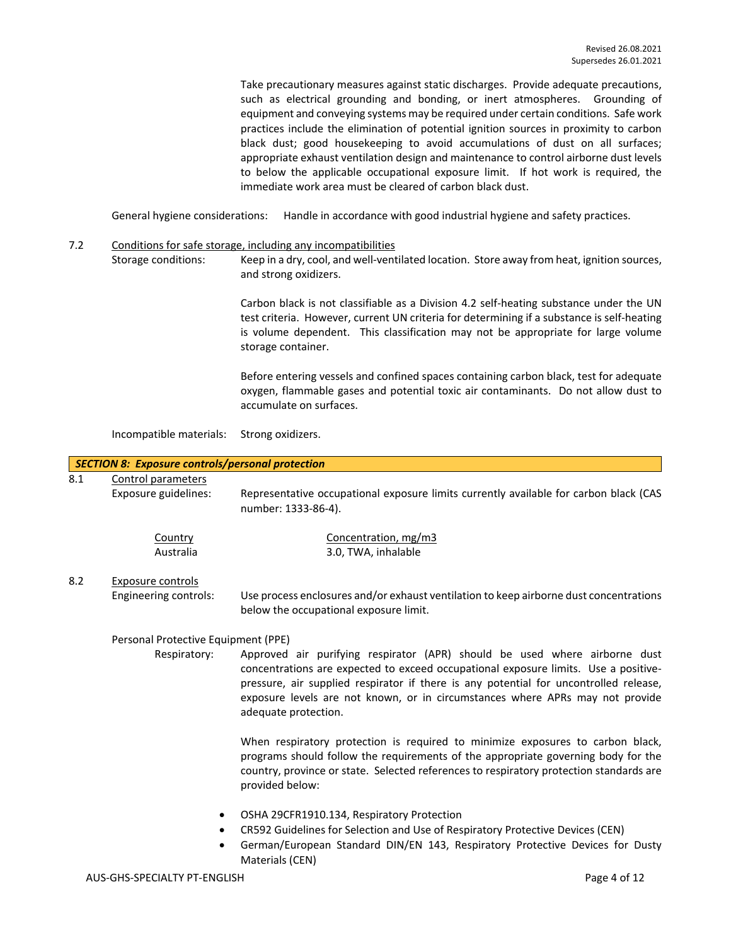Take precautionary measures against static discharges. Provide adequate precautions, such as electrical grounding and bonding, or inert atmospheres. Grounding of equipment and conveying systems may be required under certain conditions. Safe work practices include the elimination of potential ignition sources in proximity to carbon black dust; good housekeeping to avoid accumulations of dust on all surfaces; appropriate exhaust ventilation design and maintenance to control airborne dust levels to below the applicable occupational exposure limit. If hot work is required, the immediate work area must be cleared of carbon black dust.

General hygiene considerations: Handle in accordance with good industrial hygiene and safety practices.

- 7.2 Conditions for safe storage, including any incompatibilities
	- Storage conditions: Keep in a dry, cool, and well-ventilated location. Store away from heat, ignition sources, and strong oxidizers.

Carbon black is not classifiable as a Division 4.2 self-heating substance under the UN test criteria. However, current UN criteria for determining if a substance is self-heating is volume dependent. This classification may not be appropriate for large volume storage container.

Before entering vessels and confined spaces containing carbon black, test for adequate oxygen, flammable gases and potential toxic air contaminants. Do not allow dust to accumulate on surfaces.

Incompatible materials: Strong oxidizers.

#### *SECTION 8: Exposure controls/personal protection* 8.1 Control parameters

Exposure guidelines: Representative occupational exposure limits currently available for carbon black (CAS number: 1333-86-4).

| Country   | Concentration, mg/m3 |
|-----------|----------------------|
| Australia | 3.0, TWA, inhalable  |

## 8.2 Exposure controls

Engineering controls: Use process enclosures and/or exhaust ventilation to keep airborne dust concentrations below the occupational exposure limit.

## Personal Protective Equipment (PPE)

Respiratory: Approved air purifying respirator (APR) should be used where airborne dust concentrations are expected to exceed occupational exposure limits. Use a positivepressure, air supplied respirator if there is any potential for uncontrolled release, exposure levels are not known, or in circumstances where APRs may not provide adequate protection.

> When respiratory protection is required to minimize exposures to carbon black, programs should follow the requirements of the appropriate governing body for the country, province or state. Selected references to respiratory protection standards are provided below:

- OSHA 29CFR1910.134, Respiratory Protection
- CR592 Guidelines for Selection and Use of Respiratory Protective Devices (CEN)
- German/European Standard DIN/EN 143, Respiratory Protective Devices for Dusty Materials (CEN)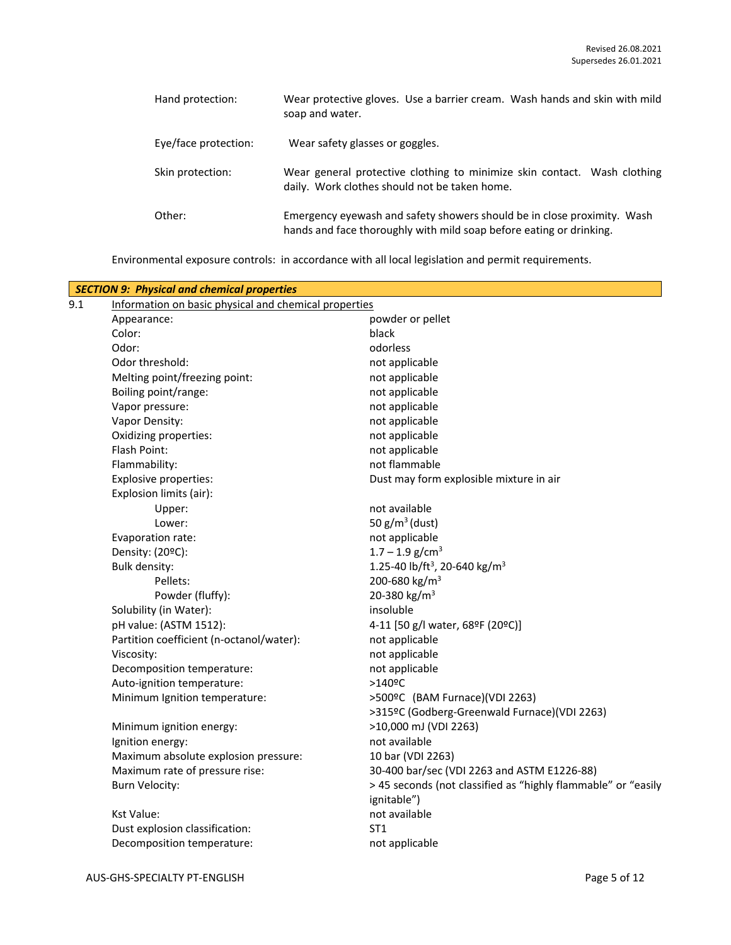| Hand protection:     | Wear protective gloves. Use a barrier cream. Wash hands and skin with mild<br>soap and water.                                                  |
|----------------------|------------------------------------------------------------------------------------------------------------------------------------------------|
| Eye/face protection: | Wear safety glasses or goggles.                                                                                                                |
| Skin protection:     | Wear general protective clothing to minimize skin contact. Wash clothing<br>daily. Work clothes should not be taken home.                      |
| Other:               | Emergency eyewash and safety showers should be in close proximity. Wash<br>hands and face thoroughly with mild soap before eating or drinking. |

Environmental exposure controls: in accordance with all local legislation and permit requirements.

|     | <b>SECTION 9: Physical and chemical properties</b>    |                                                               |
|-----|-------------------------------------------------------|---------------------------------------------------------------|
| 9.1 | Information on basic physical and chemical properties |                                                               |
|     | Appearance:                                           | powder or pellet                                              |
|     | Color:                                                | black                                                         |
|     | Odor:                                                 | odorless                                                      |
|     | Odor threshold:                                       | not applicable                                                |
|     | Melting point/freezing point:                         | not applicable                                                |
|     | Boiling point/range:                                  | not applicable                                                |
|     | Vapor pressure:                                       | not applicable                                                |
|     | Vapor Density:                                        | not applicable                                                |
|     | Oxidizing properties:                                 | not applicable                                                |
|     | Flash Point:                                          | not applicable                                                |
|     | Flammability:                                         | not flammable                                                 |
|     | <b>Explosive properties:</b>                          | Dust may form explosible mixture in air                       |
|     | Explosion limits (air):                               |                                                               |
|     | Upper:                                                | not available                                                 |
|     | Lower:                                                | 50 $g/m^3$ (dust)                                             |
|     | Evaporation rate:                                     | not applicable                                                |
|     | Density: (20ºC):                                      | $1.7 - 1.9$ g/cm <sup>3</sup>                                 |
|     | <b>Bulk density:</b>                                  | 1.25-40 lb/ft <sup>3</sup> , 20-640 kg/m <sup>3</sup>         |
|     | Pellets:                                              | 200-680 kg/m <sup>3</sup>                                     |
|     | Powder (fluffy):                                      | 20-380 kg/m <sup>3</sup>                                      |
|     | Solubility (in Water):                                | insoluble                                                     |
|     | pH value: (ASTM 1512):                                | 4-11 [50 g/l water, 68ºF (20ºC)]                              |
|     | Partition coefficient (n-octanol/water):              | not applicable                                                |
|     | Viscosity:                                            | not applicable                                                |
|     | Decomposition temperature:                            | not applicable                                                |
|     | Auto-ignition temperature:                            | $>140$ <sup>o</sup> C                                         |
|     | Minimum Ignition temperature:                         | >500ºC (BAM Furnace)(VDI 2263)                                |
|     |                                                       | >315ºC (Godberg-Greenwald Furnace)(VDI 2263)                  |
|     | Minimum ignition energy:                              | >10,000 mJ (VDI 2263)                                         |
|     | Ignition energy:                                      | not available                                                 |
|     | Maximum absolute explosion pressure:                  | 10 bar (VDI 2263)                                             |
|     | Maximum rate of pressure rise:                        | 30-400 bar/sec (VDI 2263 and ASTM E1226-88)                   |
|     | <b>Burn Velocity:</b>                                 | > 45 seconds (not classified as "highly flammable" or "easily |
|     |                                                       | ignitable")                                                   |
|     | <b>Kst Value:</b>                                     | not available                                                 |
|     | Dust explosion classification:                        | ST <sub>1</sub>                                               |
|     | Decomposition temperature:                            | not applicable                                                |
|     |                                                       |                                                               |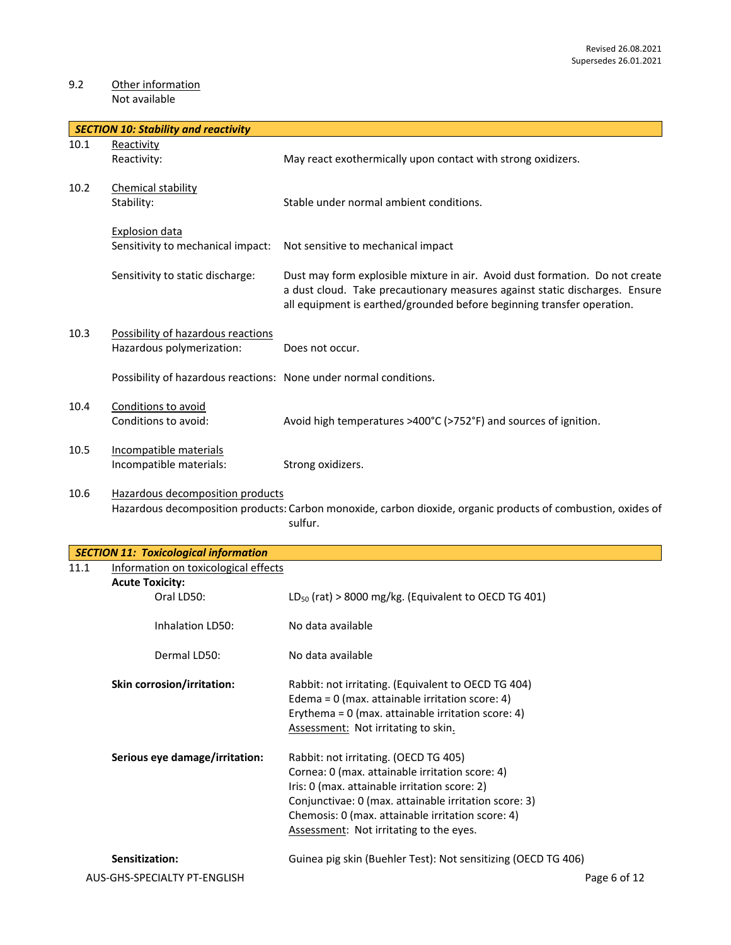## 9.2 Other information Not available

|      | <b>SECTION 10: Stability and reactivity</b>                       |                                                                                                                                                                                                                                       |
|------|-------------------------------------------------------------------|---------------------------------------------------------------------------------------------------------------------------------------------------------------------------------------------------------------------------------------|
| 10.1 | Reactivity<br>Reactivity:                                         | May react exothermically upon contact with strong oxidizers.                                                                                                                                                                          |
| 10.2 | Chemical stability<br>Stability:                                  | Stable under normal ambient conditions.                                                                                                                                                                                               |
|      | Explosion data<br>Sensitivity to mechanical impact:               | Not sensitive to mechanical impact                                                                                                                                                                                                    |
|      | Sensitivity to static discharge:                                  | Dust may form explosible mixture in air. Avoid dust formation. Do not create<br>a dust cloud. Take precautionary measures against static discharges. Ensure<br>all equipment is earthed/grounded before beginning transfer operation. |
| 10.3 | Possibility of hazardous reactions<br>Hazardous polymerization:   | Does not occur.                                                                                                                                                                                                                       |
|      | Possibility of hazardous reactions: None under normal conditions. |                                                                                                                                                                                                                                       |
| 10.4 | Conditions to avoid<br>Conditions to avoid:                       | Avoid high temperatures >400°C (>752°F) and sources of ignition.                                                                                                                                                                      |
| 10.5 | Incompatible materials<br>Incompatible materials:                 | Strong oxidizers.                                                                                                                                                                                                                     |
| 10.6 | Hazardous decomposition products                                  | Hazardous decomposition products: Carbon monoxide, carbon dioxide, organic products of combustion, oxides of<br>sulfur.                                                                                                               |

|      | <b>SECTION 11: Toxicological information</b> |                                                               |  |
|------|----------------------------------------------|---------------------------------------------------------------|--|
| 11.1 | Information on toxicological effects         |                                                               |  |
|      | <b>Acute Toxicity:</b>                       |                                                               |  |
|      | Oral LD50:                                   | $LD_{50}$ (rat) > 8000 mg/kg. (Equivalent to OECD TG 401)     |  |
|      | Inhalation ID50:                             | No data available                                             |  |
|      | Dermal LD50:                                 | No data available                                             |  |
|      | Skin corrosion/irritation:                   | Rabbit: not irritating. (Equivalent to OECD TG 404)           |  |
|      |                                              | Edema = $0$ (max. attainable irritation score: 4)             |  |
|      |                                              | Erythema = $0$ (max. attainable irritation score: 4)          |  |
|      |                                              | Assessment: Not irritating to skin.                           |  |
|      | Serious eye damage/irritation:               | Rabbit: not irritating. (OECD TG 405)                         |  |
|      |                                              | Cornea: 0 (max. attainable irritation score: 4)               |  |
|      |                                              | Iris: 0 (max. attainable irritation score: 2)                 |  |
|      |                                              | Conjunctivae: 0 (max. attainable irritation score: 3)         |  |
|      |                                              | Chemosis: 0 (max. attainable irritation score: 4)             |  |
|      |                                              |                                                               |  |
|      |                                              | Assessment: Not irritating to the eyes.                       |  |
|      | Sensitization:                               | Guinea pig skin (Buehler Test): Not sensitizing (OECD TG 406) |  |
|      | AUS-GHS-SPECIALTY PT-ENGLISH                 | Page 6 of 12                                                  |  |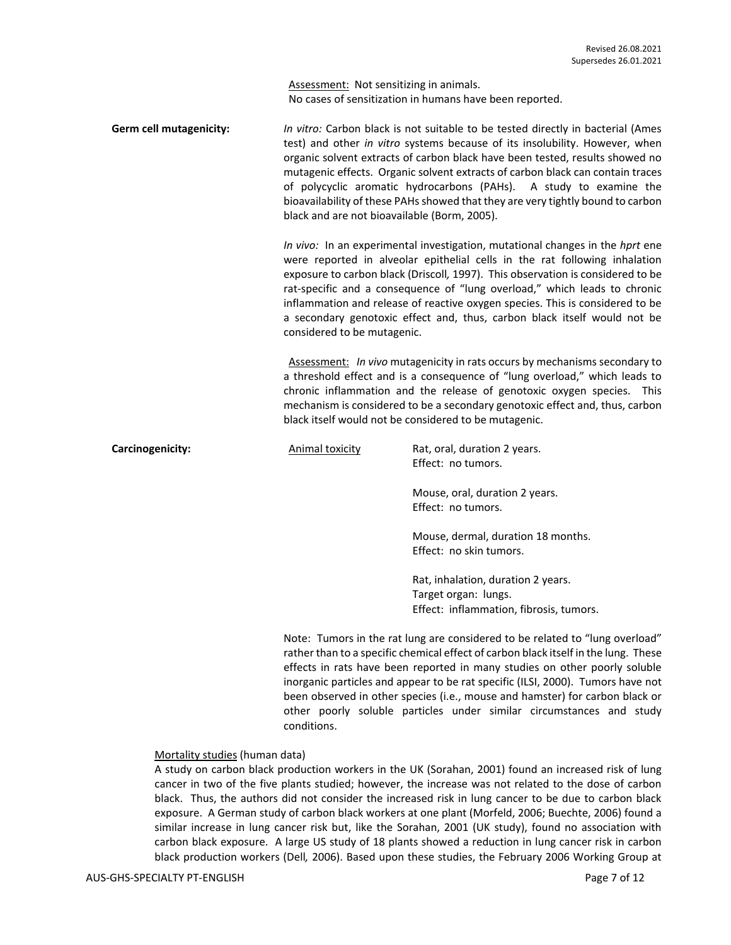Assessment: Not sensitizing in animals. No cases of sensitization in humans have been reported.

**Germ cell mutagenicity:** *In vitro:* Carbon black is not suitable to be tested directly in bacterial (Ames test) and other *in vitro* systems because of its insolubility. However, when organic solvent extracts of carbon black have been tested, results showed no mutagenic effects. Organic solvent extracts of carbon black can contain traces of polycyclic aromatic hydrocarbons (PAHs). A study to examine the bioavailability of these PAHs showed that they are very tightly bound to carbon black and are not bioavailable (Borm, 2005).

> *In vivo:* In an experimental investigation, mutational changes in the *hprt* ene were reported in alveolar epithelial cells in the rat following inhalation exposure to carbon black (Driscoll*,* 1997). This observation is considered to be rat-specific and a consequence of "lung overload," which leads to chronic inflammation and release of reactive oxygen species. This is considered to be a secondary genotoxic effect and, thus, carbon black itself would not be considered to be mutagenic.

> Assessment: *In vivo* mutagenicity in rats occurs by mechanisms secondary to a threshold effect and is a consequence of "lung overload," which leads to chronic inflammation and the release of genotoxic oxygen species. This mechanism is considered to be a secondary genotoxic effect and, thus, carbon black itself would not be considered to be mutagenic.

**Carcinogenicity:** Animal toxicity Rat, oral, duration 2 years. Effect: no tumors. Mouse, oral, duration 2 years. Effect: no tumors. Mouse, dermal, duration 18 months. Effect: no skin tumors.

> Rat, inhalation, duration 2 years. Target organ: lungs. Effect: inflammation, fibrosis, tumors.

Note: Tumors in the rat lung are considered to be related to "lung overload" rather than to a specific chemical effect of carbon black itself in the lung. These effects in rats have been reported in many studies on other poorly soluble inorganic particles and appear to be rat specific (ILSI, 2000). Tumors have not been observed in other species (i.e., mouse and hamster) for carbon black or other poorly soluble particles under similar circumstances and study conditions.

#### Mortality studies (human data)

A study on carbon black production workers in the UK (Sorahan, 2001) found an increased risk of lung cancer in two of the five plants studied; however, the increase was not related to the dose of carbon black. Thus, the authors did not consider the increased risk in lung cancer to be due to carbon black exposure. A German study of carbon black workers at one plant (Morfeld, 2006; Buechte, 2006) found a similar increase in lung cancer risk but, like the Sorahan, 2001 (UK study), found no association with carbon black exposure. A large US study of 18 plants showed a reduction in lung cancer risk in carbon black production workers (Dell*,* 2006). Based upon these studies, the February 2006 Working Group at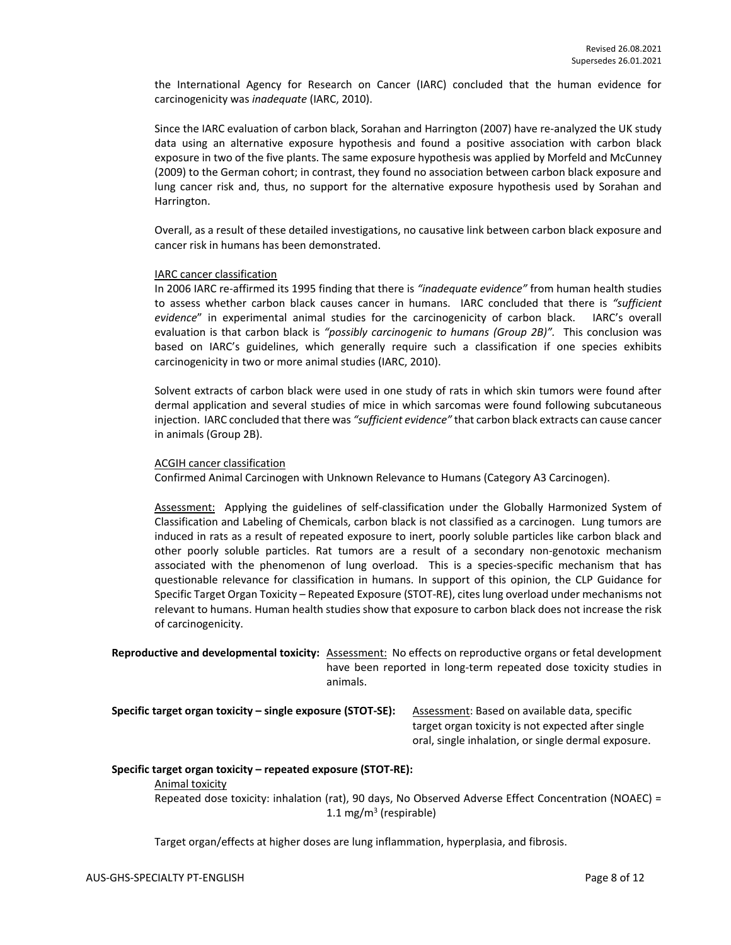the International Agency for Research on Cancer (IARC) concluded that the human evidence for carcinogenicity was *inadequate* (IARC, 2010).

Since the IARC evaluation of carbon black, Sorahan and Harrington (2007) have re-analyzed the UK study data using an alternative exposure hypothesis and found a positive association with carbon black exposure in two of the five plants. The same exposure hypothesis was applied by Morfeld and McCunney (2009) to the German cohort; in contrast, they found no association between carbon black exposure and lung cancer risk and, thus, no support for the alternative exposure hypothesis used by Sorahan and Harrington.

Overall, as a result of these detailed investigations, no causative link between carbon black exposure and cancer risk in humans has been demonstrated.

#### IARC cancer classification

In 2006 IARC re-affirmed its 1995 finding that there is *"inadequate evidence"* from human health studies to assess whether carbon black causes cancer in humans. IARC concluded that there is *"sufficient evidence*" in experimental animal studies for the carcinogenicity of carbon black. IARC's overall evaluation is that carbon black is *"possibly carcinogenic to humans (Group 2B)".* This conclusion was based on IARC's guidelines, which generally require such a classification if one species exhibits carcinogenicity in two or more animal studies (IARC, 2010).

Solvent extracts of carbon black were used in one study of rats in which skin tumors were found after dermal application and several studies of mice in which sarcomas were found following subcutaneous injection. IARC concluded that there was *"sufficient evidence"* that carbon black extracts can cause cancer in animals (Group 2B).

#### ACGIH cancer classification

Confirmed Animal Carcinogen with Unknown Relevance to Humans (Category A3 Carcinogen).

Assessment: Applying the guidelines of self-classification under the Globally Harmonized System of Classification and Labeling of Chemicals, carbon black is not classified as a carcinogen. Lung tumors are induced in rats as a result of repeated exposure to inert, poorly soluble particles like carbon black and other poorly soluble particles. Rat tumors are a result of a secondary non-genotoxic mechanism associated with the phenomenon of lung overload. This is a species-specific mechanism that has questionable relevance for classification in humans. In support of this opinion, the CLP Guidance for Specific Target Organ Toxicity – Repeated Exposure (STOT-RE), cites lung overload under mechanisms not relevant to humans. Human health studies show that exposure to carbon black does not increase the risk of carcinogenicity.

**Reproductive and developmental toxicity:** Assessment: No effects on reproductive organs or fetal development have been reported in long-term repeated dose toxicity studies in animals.

**Specific target organ toxicity – single exposure (STOT-SE):** Assessment: Based on available data, specific

target organ toxicity is not expected after single oral, single inhalation, or single dermal exposure.

#### **Specific target organ toxicity – repeated exposure (STOT-RE):**

#### Animal toxicity

Repeated dose toxicity: inhalation (rat), 90 days, No Observed Adverse Effect Concentration (NOAEC) = 1.1 mg/m<sup>3</sup> (respirable)

Target organ/effects at higher doses are lung inflammation, hyperplasia, and fibrosis.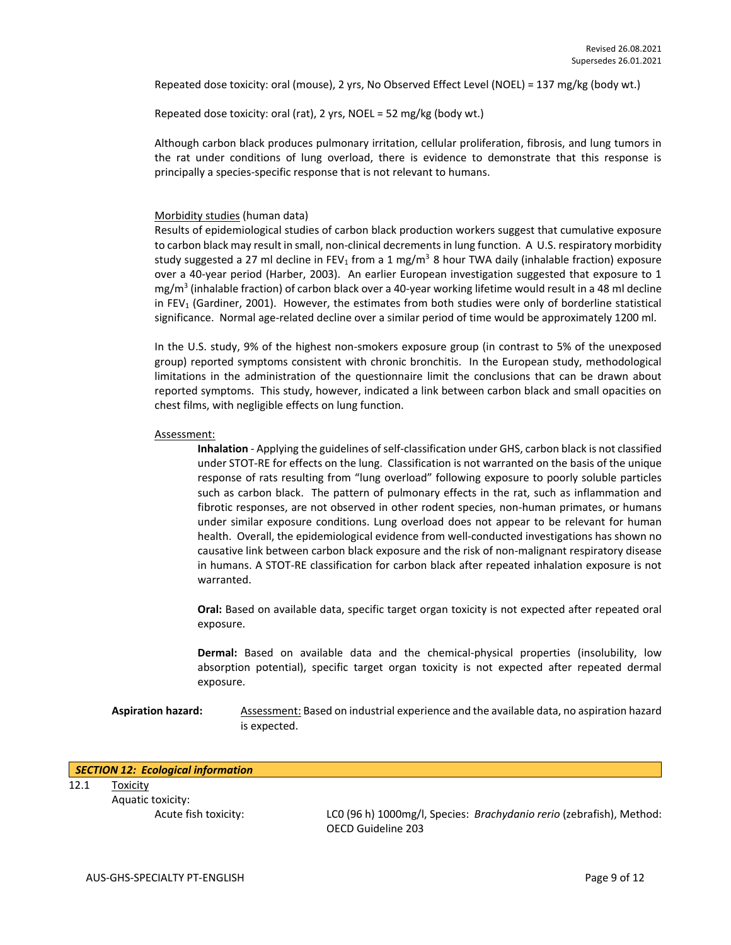Repeated dose toxicity: oral (mouse), 2 yrs, No Observed Effect Level (NOEL) = 137 mg/kg (body wt.)

Repeated dose toxicity: oral (rat), 2 yrs, NOEL = 52 mg/kg (body wt.)

Although carbon black produces pulmonary irritation, cellular proliferation, fibrosis, and lung tumors in the rat under conditions of lung overload, there is evidence to demonstrate that this response is principally a species-specific response that is not relevant to humans.

#### Morbidity studies (human data)

Results of epidemiological studies of carbon black production workers suggest that cumulative exposure to carbon black may result in small, non-clinical decrements in lung function. A U.S. respiratory morbidity study suggested a 27 ml decline in FEV<sub>1</sub> from a 1 mg/m<sup>3</sup> 8 hour TWA daily (inhalable fraction) exposure over a 40-year period (Harber, 2003). An earlier European investigation suggested that exposure to 1 mg/m<sup>3</sup> (inhalable fraction) of carbon black over a 40-year working lifetime would result in a 48 ml decline in FEV<sub>1</sub> (Gardiner, 2001). However, the estimates from both studies were only of borderline statistical significance. Normal age-related decline over a similar period of time would be approximately 1200 ml.

In the U.S. study, 9% of the highest non-smokers exposure group (in contrast to 5% of the unexposed group) reported symptoms consistent with chronic bronchitis. In the European study, methodological limitations in the administration of the questionnaire limit the conclusions that can be drawn about reported symptoms. This study, however, indicated a link between carbon black and small opacities on chest films, with negligible effects on lung function.

#### Assessment:

**Inhalation** - Applying the guidelines of self-classification under GHS, carbon black is not classified under STOT-RE for effects on the lung. Classification is not warranted on the basis of the unique response of rats resulting from "lung overload" following exposure to poorly soluble particles such as carbon black. The pattern of pulmonary effects in the rat, such as inflammation and fibrotic responses, are not observed in other rodent species, non-human primates, or humans under similar exposure conditions. Lung overload does not appear to be relevant for human health. Overall, the epidemiological evidence from well-conducted investigations has shown no causative link between carbon black exposure and the risk of non-malignant respiratory disease in humans. A STOT-RE classification for carbon black after repeated inhalation exposure is not warranted.

**Oral:** Based on available data, specific target organ toxicity is not expected after repeated oral exposure.

**Dermal:** Based on available data and the chemical-physical properties (insolubility, low absorption potential), specific target organ toxicity is not expected after repeated dermal exposure.

**Aspiration hazard:** Assessment: Based on industrial experience and the available data, no aspiration hazard is expected.

| SECTION 12: Ecological information |  |  |
|------------------------------------|--|--|
|------------------------------------|--|--|

12.1 Toxicity

Aquatic toxicity:

Acute fish toxicity: LC0 (96 h) 1000mg/l, Species: *Brachydanio rerio* (zebrafish), Method: OECD Guideline 203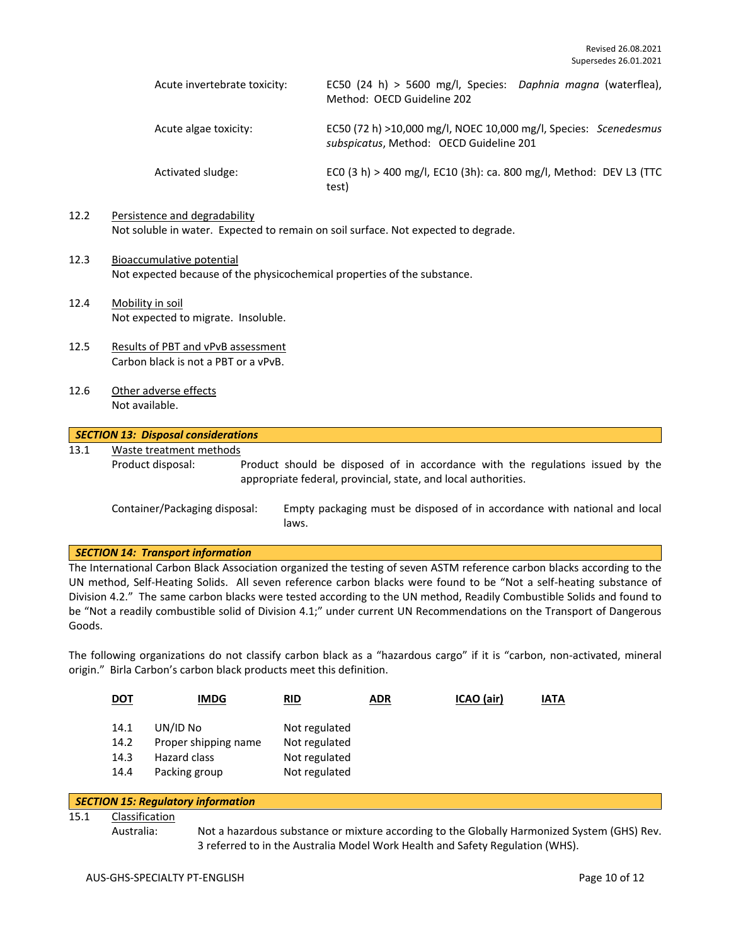| Acute invertebrate toxicity: | EC50 (24 h) > 5600 mg/l, Species: Daphnia magna (waterflea),<br>Method: OECD Guideline 202                  |
|------------------------------|-------------------------------------------------------------------------------------------------------------|
| Acute algae toxicity:        | EC50 (72 h) >10,000 mg/l, NOEC 10,000 mg/l, Species: Scenedesmus<br>subspicatus, Method: OECD Guideline 201 |
| Activated sludge:            | ECO (3 h) > 400 mg/l, EC10 (3h): ca. 800 mg/l, Method: DEV L3 (TTC<br>test)                                 |

## 12.2 Persistence and degradability

Not soluble in water. Expected to remain on soil surface. Not expected to degrade.

- 12.3 Bioaccumulative potential Not expected because of the physicochemical properties of the substance.
- 12.4 Mobility in soil Not expected to migrate. Insoluble.
- 12.5 Results of PBT and vPvB assessment Carbon black is not a PBT or a vPvB.
- 12.6 Other adverse effects Not available.

## *SECTION 13: Disposal considerations*

13.1 Waste treatment methods

Product disposal: Product should be disposed of in accordance with the regulations issued by the appropriate federal, provincial, state, and local authorities.

Container/Packaging disposal: Empty packaging must be disposed of in accordance with national and local laws.

#### *SECTION 14: Transport information*

The International Carbon Black Association organized the testing of seven ASTM reference carbon blacks according to the UN method, Self-Heating Solids. All seven reference carbon blacks were found to be "Not a self-heating substance of Division 4.2." The same carbon blacks were tested according to the UN method, Readily Combustible Solids and found to be "Not a readily combustible solid of Division 4.1;" under current UN Recommendations on the Transport of Dangerous Goods.

The following organizations do not classify carbon black as a "hazardous cargo" if it is "carbon, non-activated, mineral origin." Birla Carbon's carbon black products meet this definition.

|                                                                                                                                                                       |  | <b>IMDG</b> | <u>RID</u> | <b>ADR</b> | ICAO (air) | IATA |  |
|-----------------------------------------------------------------------------------------------------------------------------------------------------------------------|--|-------------|------------|------------|------------|------|--|
| UN/ID No<br>14.1<br>Not regulated<br>Proper shipping name<br>14.2<br>Not regulated<br>14.3<br>Not regulated<br>Hazard class<br>Not regulated<br>14.4<br>Packing group |  |             |            |            |            |      |  |

| SECTION 15: Regulatory information |                |                                                                                             |  |  |
|------------------------------------|----------------|---------------------------------------------------------------------------------------------|--|--|
| 15.1                               | Classification |                                                                                             |  |  |
|                                    | Australia:     | Not a hazardous substance or mixture according to the Globally Harmonized System (GHS) Rev. |  |  |
|                                    |                | 3 referred to in the Australia Model Work Health and Safety Regulation (WHS).               |  |  |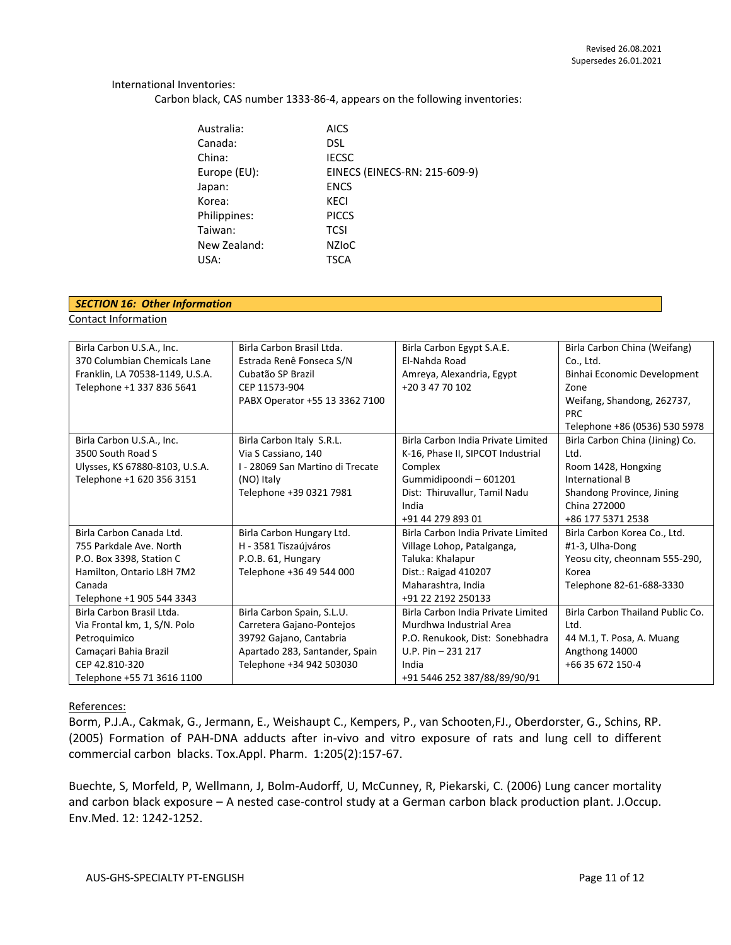#### International Inventories:

Carbon black, CAS number 1333-86-4, appears on the following inventories:

| Australia:   | <b>AICS</b>                   |
|--------------|-------------------------------|
| Canada:      | DSL                           |
| China:       | <b>IECSC</b>                  |
| Europe (EU): | EINECS (EINECS-RN: 215-609-9) |
| Japan:       | <b>ENCS</b>                   |
| Korea:       | <b>KECI</b>                   |
| Philippines: | <b>PICCS</b>                  |
| Taiwan:      | <b>TCSI</b>                   |
| New Zealand: | <b>NZIOC</b>                  |
| USA:         | <b>TSCA</b>                   |

### *SECTION 16: Other Information*

Contact Information

| Birla Carbon U.S.A., Inc.       | Birla Carbon Brasil Ltda.        | Birla Carbon Egypt S.A.E.          | Birla Carbon China (Weifang)     |
|---------------------------------|----------------------------------|------------------------------------|----------------------------------|
| 370 Columbian Chemicals Lane    | Estrada Renê Fonseca S/N         | El-Nahda Road                      | Co., Ltd.                        |
| Franklin, LA 70538-1149, U.S.A. | Cubatão SP Brazil                | Amreya, Alexandria, Egypt          | Binhai Economic Development      |
| Telephone +1 337 836 5641       | CEP 11573-904                    | +20 3 47 70 102                    | Zone                             |
|                                 | PABX Operator +55 13 3362 7100   |                                    | Weifang, Shandong, 262737,       |
|                                 |                                  |                                    | <b>PRC</b>                       |
|                                 |                                  |                                    | Telephone +86 (0536) 530 5978    |
| Birla Carbon U.S.A., Inc.       | Birla Carbon Italy S.R.L.        | Birla Carbon India Private Limited | Birla Carbon China (Jining) Co.  |
| 3500 South Road S               | Via S Cassiano, 140              | K-16, Phase II, SIPCOT Industrial  | Ltd.                             |
| Ulysses, KS 67880-8103, U.S.A.  | I - 28069 San Martino di Trecate | Complex                            | Room 1428, Hongxing              |
| Telephone +1 620 356 3151       | (NO) Italy                       | Gummidipoondi - 601201             | International B                  |
|                                 | Telephone +39 0321 7981          | Dist: Thiruvallur, Tamil Nadu      | Shandong Province, Jining        |
|                                 |                                  | India                              | China 272000                     |
|                                 |                                  | +91 44 279 893 01                  | +86 177 5371 2538                |
| Birla Carbon Canada Ltd.        | Birla Carbon Hungary Ltd.        | Birla Carbon India Private Limited | Birla Carbon Korea Co., Ltd.     |
| 755 Parkdale Ave. North         | H - 3581 Tiszaújváros            | Village Lohop, Patalganga,         | #1-3, Ulha-Dong                  |
| P.O. Box 3398, Station C        | P.O.B. 61, Hungary               | Taluka: Khalapur                   | Yeosu city, cheonnam 555-290,    |
| Hamilton, Ontario L8H 7M2       | Telephone +36 49 544 000         | Dist.: Raigad 410207               | Korea                            |
| Canada                          |                                  | Maharashtra, India                 | Telephone 82-61-688-3330         |
| Telephone +1 905 544 3343       |                                  | +91 22 2192 250133                 |                                  |
| Birla Carbon Brasil Ltda.       | Birla Carbon Spain, S.L.U.       | Birla Carbon India Private Limited | Birla Carbon Thailand Public Co. |
| Via Frontal km, 1, S/N. Polo    | Carretera Gajano-Pontejos        | Murdhwa Industrial Area            | Ltd.                             |
| Petroquimico                    | 39792 Gajano, Cantabria          | P.O. Renukook, Dist: Sonebhadra    | 44 M.1, T. Posa, A. Muang        |
| Camaçari Bahia Brazil           | Apartado 283, Santander, Spain   | U.P. Pin $-231$ 217                | Angthong 14000                   |
| CEP 42.810-320                  | Telephone +34 942 503030         | India                              | +66 35 672 150-4                 |
| Telephone +55 71 3616 1100      |                                  | +91 5446 252 387/88/89/90/91       |                                  |

#### References:

Borm, P.J.A., Cakmak, G., Jermann, E., Weishaupt C., Kempers, P., van Schooten,FJ., Oberdorster, G., Schins, RP. (2005) Formation of PAH-DNA adducts after in-vivo and vitro exposure of rats and lung cell to different commercial carbon blacks. Tox.Appl. Pharm. 1:205(2):157-67.

Buechte, S, Morfeld, P, Wellmann, J, Bolm-Audorff, U, McCunney, R, Piekarski, C. (2006) Lung cancer mortality and carbon black exposure – A nested case-control study at a German carbon black production plant. J.Occup. Env.Med. 12: 1242-1252.